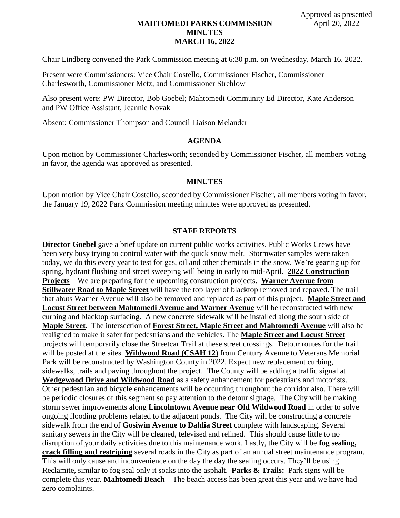# **MAHTOMEDI PARKS COMMISSION MINUTES MARCH 16, 2022**

Chair Lindberg convened the Park Commission meeting at 6:30 p.m. on Wednesday, March 16, 2022.

Present were Commissioners: Vice Chair Costello, Commissioner Fischer, Commissioner Charlesworth, Commissioner Metz, and Commissioner Strehlow

Also present were: PW Director, Bob Goebel; Mahtomedi Community Ed Director, Kate Anderson and PW Office Assistant, Jeannie Novak

Absent: Commissioner Thompson and Council Liaison Melander

#### **AGENDA**

Upon motion by Commissioner Charlesworth; seconded by Commissioner Fischer, all members voting in favor, the agenda was approved as presented.

#### **MINUTES**

Upon motion by Vice Chair Costello; seconded by Commissioner Fischer, all members voting in favor, the January 19, 2022 Park Commission meeting minutes were approved as presented.

#### **STAFF REPORTS**

**Director Goebel** gave a brief update on current public works activities. Public Works Crews have been very busy trying to control water with the quick snow melt. Stormwater samples were taken today, we do this every year to test for gas, oil and other chemicals in the snow. We're gearing up for spring, hydrant flushing and street sweeping will being in early to mid-April. **2022 Construction Projects** – We are preparing for the upcoming construction projects. **Warner Avenue from Stillwater Road to Maple Street** will have the top layer of blacktop removed and repaved. The trail that abuts Warner Avenue will also be removed and replaced as part of this project. **Maple Street and Locust Street between Mahtomedi Avenue and Warner Avenue** will be reconstructed with new curbing and blacktop surfacing. A new concrete sidewalk will be installed along the south side of **Maple Street**. The intersection of **Forest Street, Maple Street and Mahtomedi Avenue** will also be realigned to make it safer for pedestrians and the vehicles. The **Maple Street and Locust Street** projects will temporarily close the Streetcar Trail at these street crossings. Detour routes for the trail will be posted at the sites. **Wildwood Road (CSAH 12)** from Century Avenue to Veterans Memorial Park will be reconstructed by Washington County in 2022. Expect new replacement curbing, sidewalks, trails and paving throughout the project. The County will be adding a traffic signal at **Wedgewood Drive and Wildwood Road** as a safety enhancement for pedestrians and motorists. Other pedestrian and bicycle enhancements will be occurring throughout the corridor also. There will be periodic closures of this segment so pay attention to the detour signage. The City will be making storm sewer improvements along **Lincolntown Avenue near Old Wildwood Road** in order to solve ongoing flooding problems related to the adjacent ponds. The City will be constructing a concrete sidewalk from the end of **Gosiwin Avenue to Dahlia Street** complete with landscaping. Several sanitary sewers in the City will be cleaned, televised and relined. This should cause little to no disruption of your daily activities due to this maintenance work. Lastly, the City will be **fog sealing, crack filling and restriping** several roads in the City as part of an annual street maintenance program. This will only cause and inconvenience on the day the day the sealing occurs. They'll be using Reclamite, similar to fog seal only it soaks into the asphalt. **Parks & Trails:** Park signs will be complete this year. **Mahtomedi Beach** – The beach access has been great this year and we have had zero complaints.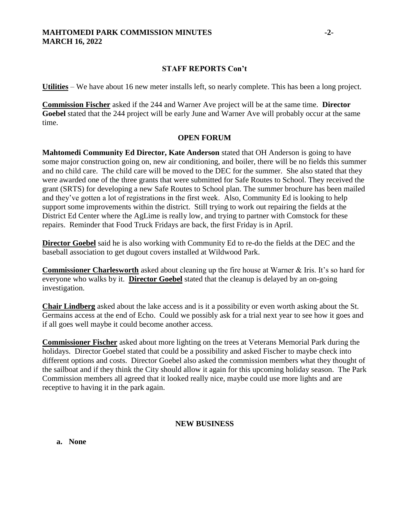# **MAHTOMEDI PARK COMMISSION MINUTES -2- MARCH 16, 2022**

# **STAFF REPORTS Con't**

**Utilities** – We have about 16 new meter installs left, so nearly complete. This has been a long project.

**Commission Fischer** asked if the 244 and Warner Ave project will be at the same time. **Director Goebel** stated that the 244 project will be early June and Warner Ave will probably occur at the same time.

# **OPEN FORUM**

**Mahtomedi Community Ed Director, Kate Anderson** stated that OH Anderson is going to have some major construction going on, new air conditioning, and boiler, there will be no fields this summer and no child care. The child care will be moved to the DEC for the summer. She also stated that they were awarded one of the three grants that were submitted for Safe Routes to School. They received the grant (SRTS) for developing a new Safe Routes to School plan. The summer brochure has been mailed and they've gotten a lot of registrations in the first week. Also, Community Ed is looking to help support some improvements within the district. Still trying to work out repairing the fields at the District Ed Center where the AgLime is really low, and trying to partner with Comstock for these repairs. Reminder that Food Truck Fridays are back, the first Friday is in April.

**Director Goebel** said he is also working with Community Ed to re-do the fields at the DEC and the baseball association to get dugout covers installed at Wildwood Park.

**Commissioner Charlesworth** asked about cleaning up the fire house at Warner & Iris. It's so hard for everyone who walks by it. **Director Goebel** stated that the cleanup is delayed by an on-going investigation.

**Chair Lindberg** asked about the lake access and is it a possibility or even worth asking about the St. Germains access at the end of Echo. Could we possibly ask for a trial next year to see how it goes and if all goes well maybe it could become another access.

**Commissioner Fischer** asked about more lighting on the trees at Veterans Memorial Park during the holidays. Director Goebel stated that could be a possibility and asked Fischer to maybe check into different options and costs. Director Goebel also asked the commission members what they thought of the sailboat and if they think the City should allow it again for this upcoming holiday season. The Park Commission members all agreed that it looked really nice, maybe could use more lights and are receptive to having it in the park again.

# **NEW BUSINESS**

**a. None**